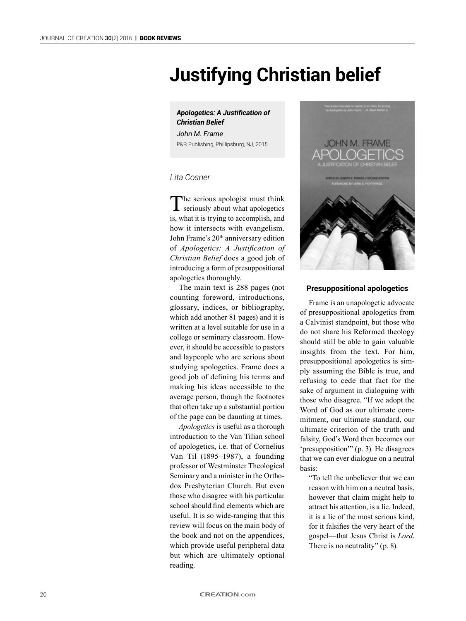# **Justifying Christian belief**

## *Apologetics: A Justification of Christian Belief*

*John M. Frame* P&R Publishing, Phillipsburg, NJ, 2015

## *Lita Cosner*

The serious apologist must think<br>seriously about what apologetics is, what it is trying to accomplish, and how it intersects with evangelism. John Frame's 20<sup>th</sup> anniversary edition of *Apologetics: A Justification of Christian Belief* does a good job of introducing a form of presuppositional apologetics thoroughly.

The main text is 288 pages (not counting foreword, introductions, glossary, indices, or bibliography, which add another 81 pages) and it is written at a level suitable for use in a college or seminary classroom. However, it should be accessible to pastors and laypeople who are serious about studying apologetics. Frame does a good job of defining his terms and making his ideas accessible to the average person, though the footnotes that often take up a substantial portion of the page can be daunting at times.

*Apologetics* is useful as a thorough introduction to the Van Tilian school of apologetics, i.e. that of Cornelius Van Til (1895–1987), a founding professor of Westminster Theological Seminary and a minister in the Orthodox Presbyterian Church. But even those who disagree with his particular school should find elements which are useful. It is so wide-ranging that this review will focus on the main body of the book and not on the appendices, which provide useful peripheral data but which are ultimately optional reading.



## **Presuppositional apologetics**

Frame is an unapologetic advocate of presuppositional apologetics from a Calvinist standpoint, but those who do not share his Reformed theology should still be able to gain valuable insights from the text. For him, presuppositional apologetics is simply assuming the Bible is true, and refusing to cede that fact for the sake of argument in dialoguing with those who disagree. "If we adopt the Word of God as our ultimate commitment, our ultimate standard, our ultimate criterion of the truth and falsity, God's Word then becomes our 'presupposition'" (p. 3). He disagrees that we can ever dialogue on a neutral basis:

"To tell the unbeliever that we can reason with him on a neutral basis, however that claim might help to attract his attention, is a lie. Indeed, it is a lie of the most serious kind, for it falsifies the very heart of the gospel—that Jesus Christ is *Lord*. There is no neutrality" (p. 8).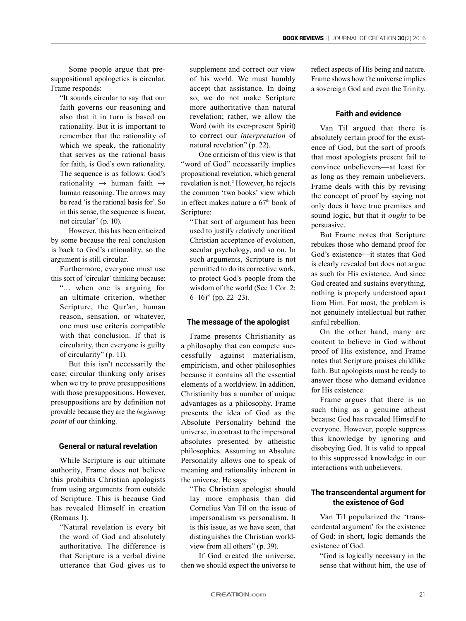Some people argue that presuppositional apologetics is circular. Frame responds:

"It sounds circular to say that our faith governs our reasoning and also that it in turn is based on rationality. But it is important to remember that the rationality of which we speak, the rationality that serves as the rational basis for faith, is God's own rationality. The sequence is as follows: God's rationality → human faith → human reasoning. The arrows may be read 'is the rational basis for'. So in this sense, the sequence is linear, not circular" (p. 10).

However, this has been criticized by some because the real conclusion is back to God's rationality, so the argument is still circular.<sup>1</sup>

Furthermore, everyone must use this sort of 'circular' thinking because:

"… when one is arguing for an ultimate criterion, whether Scripture, the Qur'an, human reason, sensation, or whatever, one must use criteria compatible with that conclusion. If that is circularity, then everyone is guilty of circularity" (p. 11).

But this isn't necessarily the case; circular thinking only arises when we try to prove presuppositions with those presuppositions. However, presuppositions are by definition not provable because they are the *beginning point* of our thinking.

## **General or natural revelation**

While Scripture is our ultimate authority, Frame does not believe this prohibits Christian apologists from using arguments from outside of Scripture. This is because God has revealed Himself in creation (Romans 1).

"Natural revelation is every bit the word of God and absolutely authoritative. The difference is that Scripture is a verbal divine utterance that God gives us to supplement and correct our view of his world. We must humbly accept that assistance. In doing so, we do not make Scripture more authoritative than natural revelation; rather, we allow the Word (with its ever-present Spirit) to correct our *interpretation* of natural revelation" (p. 22).

One criticism of this view is that "word of God" necessarily implies propositional revelation, which general revelation is not.<sup>2</sup> However, he rejects the common 'two books' view which in effect makes nature a  $67<sup>th</sup>$  book of Scripture:

"That sort of argument has been used to justify relatively uncritical Christian acceptance of evolution, secular psychology, and so on. In such arguments, Scripture is not permitted to do its corrective work, to protect God's people from the wisdom of the world (See 1 Cor. 2: 6–16)" (pp. 22–23).

#### **The message of the apologist**

Frame presents Christianity as a philosophy that can compete successfully against materialism, empiricism, and other philosophies because it contains all the essential elements of a worldview. In addition, Christianity has a number of unique advantages as a philosophy. Frame presents the idea of God as the Absolute Personality behind the universe, in contrast to the impersonal absolutes presented by atheistic philosophies. Assuming an Absolute Personality allows one to speak of meaning and rationality inherent in the universe. He says:

"The Christian apologist should lay more emphasis than did Cornelius Van Til on the issue of impersonalism vs personalism. It is this issue, as we have seen, that distinguishes the Christian worldview from all others" (p. 39).

If God created the universe, then we should expect the universe to reflect aspects of His being and nature. Frame shows how the universe implies a sovereign God and even the Trinity.

## **Faith and evidence**

Van Til argued that there is absolutely certain proof for the existence of God, but the sort of proofs that most apologists present fail to convince unbelievers—at least for as long as they remain unbelievers. Frame deals with this by revising the concept of proof by saying not only does it have true premises and sound logic, but that it *ought* to be persuasive.

But Frame notes that Scripture rebukes those who demand proof for God's existence—it states that God is clearly revealed but does not argue as such for His existence. And since God created and sustains everything, nothing is properly understood apart from Him. For most, the problem is not genuinely intellectual but rather sinful rebellion.

On the other hand, many are content to believe in God without proof of His existence, and Frame notes that Scripture praises childlike faith. But apologists must be ready to answer those who demand evidence for His existence.

Frame argues that there is no such thing as a genuine atheist because God has revealed Himself to everyone. However, people suppress this knowledge by ignoring and disobeying God. It is valid to appeal to this suppressed knowledge in our interactions with unbelievers.

# **The transcendental argument for the existence of God**

Van Til popularized the 'transcendental argument' for the existence of God: in short, logic demands the existence of God.

"God is logically necessary in the sense that without him, the use of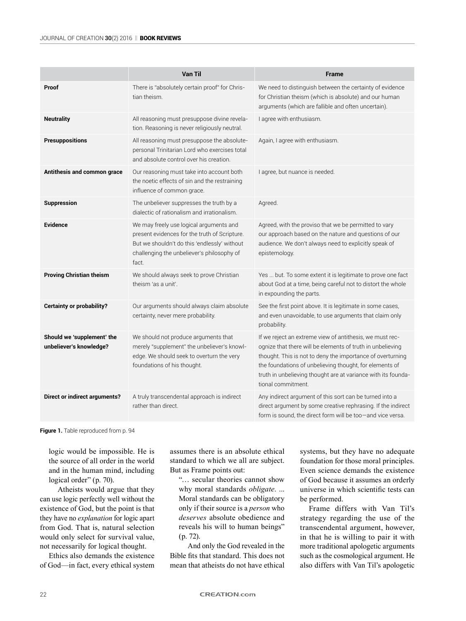|                                                       | <b>Van Til</b>                                                                                                                                                                                  | <b>Frame</b>                                                                                                                                                                                                                                                                                                                           |
|-------------------------------------------------------|-------------------------------------------------------------------------------------------------------------------------------------------------------------------------------------------------|----------------------------------------------------------------------------------------------------------------------------------------------------------------------------------------------------------------------------------------------------------------------------------------------------------------------------------------|
| Proof                                                 | There is "absolutely certain proof" for Chris-<br>tian theism.                                                                                                                                  | We need to distinguish between the certainty of evidence<br>for Christian theism (which is absolute) and our human<br>arguments (which are fallible and often uncertain).                                                                                                                                                              |
| <b>Neutrality</b>                                     | All reasoning must presuppose divine revela-<br>tion. Reasoning is never religiously neutral.                                                                                                   | I agree with enthusiasm.                                                                                                                                                                                                                                                                                                               |
| <b>Presuppositions</b>                                | All reasoning must presuppose the absolute-<br>personal Trinitarian Lord who exercises total<br>and absolute control over his creation.                                                         | Again, I agree with enthusiasm.                                                                                                                                                                                                                                                                                                        |
| Antithesis and common grace                           | Our reasoning must take into account both<br>the noetic effects of sin and the restraining<br>influence of common grace.                                                                        | I agree, but nuance is needed.                                                                                                                                                                                                                                                                                                         |
| <b>Suppression</b>                                    | The unbeliever suppresses the truth by a<br>dialectic of rationalism and irrationalism.                                                                                                         | Agreed.                                                                                                                                                                                                                                                                                                                                |
| <b>Evidence</b>                                       | We may freely use logical arguments and<br>present evidences for the truth of Scripture.<br>But we shouldn't do this 'endlessly' without<br>challenging the unbeliever's philosophy of<br>fact. | Agreed, with the proviso that we be permitted to vary<br>our approach based on the nature and questions of our<br>audience. We don't always need to explicitly speak of<br>epistemology.                                                                                                                                               |
| <b>Proving Christian theism</b>                       | We should always seek to prove Christian<br>theism 'as a unit'.                                                                                                                                 | Yes  but. To some extent it is legitimate to prove one fact<br>about God at a time, being careful not to distort the whole<br>in expounding the parts.                                                                                                                                                                                 |
| <b>Certainty or probability?</b>                      | Our arguments should always claim absolute<br>certainty, never mere probability.                                                                                                                | See the first point above. It is legitimate in some cases,<br>and even unavoidable, to use arguments that claim only<br>probability.                                                                                                                                                                                                   |
| Should we 'supplement' the<br>unbeliever's knowledge? | We should not produce arguments that<br>merely "supplement" the unbeliever's knowl-<br>edge. We should seek to overturn the very<br>foundations of his thought.                                 | If we reject an extreme view of antithesis, we must rec-<br>ognize that there will be elements of truth in unbelieving<br>thought. This is not to deny the importance of overturning<br>the foundations of unbelieving thought, for elements of<br>truth in unbelieving thought are at variance with its founda-<br>tional commitment. |
| <b>Direct or indirect arguments?</b>                  | A truly transcendental approach is indirect<br>rather than direct.                                                                                                                              | Any indirect argument of this sort can be turned into a<br>direct argument by some creative rephrasing. If the indirect<br>form is sound, the direct form will be too-and vice versa.                                                                                                                                                  |

**Figure 1.** Table reproduced from p. 94

logic would be impossible. He is the source of all order in the world and in the human mind, including logical order" (p. 70).

Atheists would argue that they can use logic perfectly well without the existence of God, but the point is that they have no *explanation* for logic apart from God. That is, natural selection would only select for survival value, not necessarily for logical thought.

Ethics also demands the existence of God—in fact, every ethical system assumes there is an absolute ethical standard to which we all are subject. But as Frame points out:

"… secular theories cannot show why moral standards *obligate*. ... Moral standards can be obligatory only if their source is a *person* who *deserves* absolute obedience and reveals his will to human beings" (p. 72).

And only the God revealed in the Bible fits that standard. This does not mean that atheists do not have ethical systems, but they have no adequate foundation for those moral principles. Even science demands the existence of God because it assumes an orderly universe in which scientific tests can be performed.

Frame differs with Van Til's strategy regarding the use of the transcendental argument, however, in that he is willing to pair it with more traditional apologetic arguments such as the cosmological argument. He also differs with Van Til's apologetic